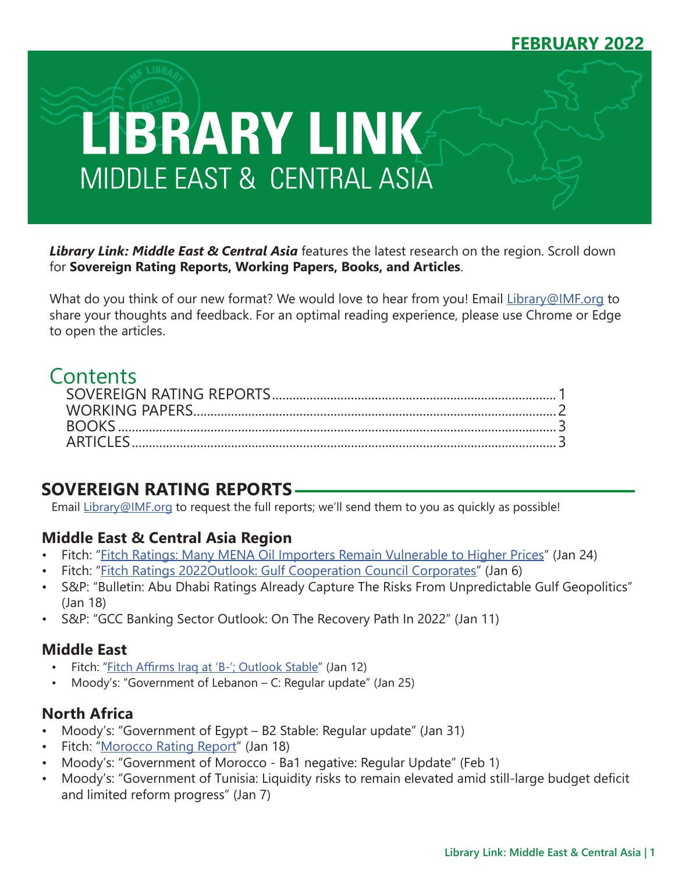## **FEBRUARY 2022**



*Library Link: Middle East & Central Asia* features the latest research on the region. Scroll down for **Sovereign Rating Reports, Working Papers, Books, and Articles**.

What do you think of our new format? We would love to hear from you! Email [Library@IMF.org](mailto:Library%40IMF.org?subject=) to share your thoughts and feedback. For an optimal reading experience, please use Chrome or Edge to open the articles.

# Contents

# **SOVEREIGN RATING REPORTS**

Email [Library@IMF.org](mailto:Library%40IMF.org?subject=) to request the full reports; we'll send them to you as quickly as possible!

### **Middle East & Central Asia Region**

- Fitch: ["Fitch Ratings: Many MENA Oil Importers Remain Vulnerable to Higher Prices"](http://t.imfconnect.imf.org/r/?id=h6d0667,3272650,33860b1) (Jan 24)
- Fitch: ["Fitch Ratings 2022Outlook: Gulf Cooperation Council Corporates](http://t.imfconnect.imf.org/r/?id=h6d0667,3272650,33860b2)" (Jan 6)
- S&P: "Bulletin: Abu Dhabi Ratings Already Capture The Risks From Unpredictable Gulf Geopolitics" (Jan 18)
- S&P: "GCC Banking Sector Outlook: On The Recovery Path In 2022" (Jan 11)

### **Middle East**

- Fitch: "[Fitch Affirms Iraq at 'B-'; Outlook Stable](http://t.imfconnect.imf.org/r/?id=h6d0667,3272650,33860b3)" (Jan 12)
- Moody's: "Government of Lebanon C: Regular update" (Jan 25)

### **North Africa**

- Moody's: "Government of Egypt B2 Stable: Regular update" (Jan 31)
- Fitch: ["Morocco Rating Report"](http://t.imfconnect.imf.org/r/?id=h6d0667,3272650,33860b4) (Jan 18)
- Moody's: "Government of Morocco Ba1 negative: Regular Update" (Feb 1)
- Moody's: "Government of Tunisia: Liquidity risks to remain elevated amid still-large budget deficit and limited reform progress" (Jan 7)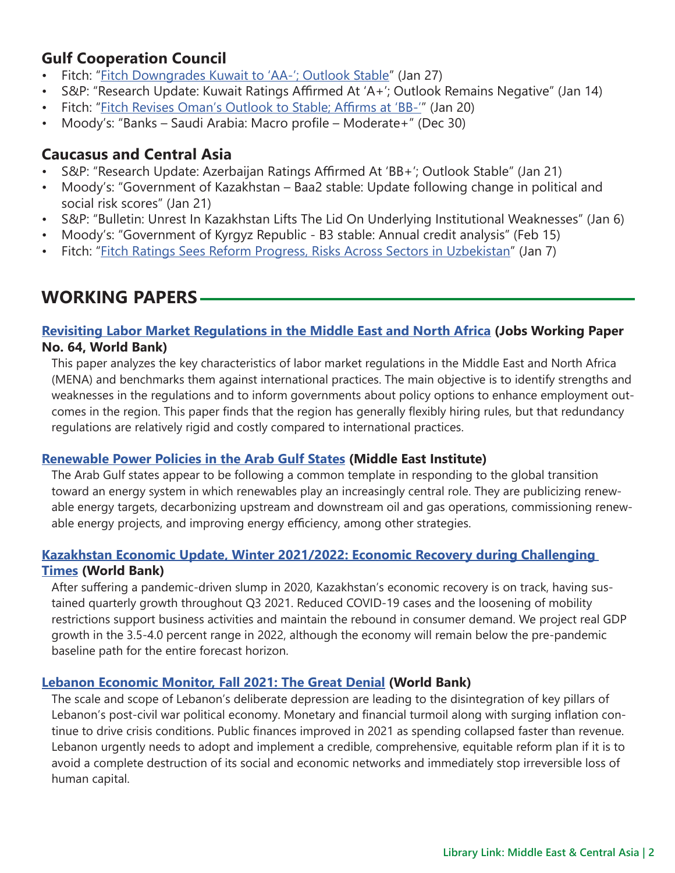## <span id="page-1-0"></span>**Gulf Cooperation Council**

- Fitch: "[Fitch Downgrades Kuwait to 'AA-'; Outlook Stable](http://t.imfconnect.imf.org/r/?id=h6d0667,3272650,33860b5)" (Jan 27)
- S&P: "Research Update: Kuwait Ratings Affirmed At 'A+'; Outlook Remains Negative" (Jan 14)
- Fitch: "[Fitch Revises Oman's Outlook to Stable; Affirms at 'BB-'](http://t.imfconnect.imf.org/r/?id=h6d0667,3272650,33860b6)" (Jan 20)
- Moody's: "Banks Saudi Arabia: Macro profile Moderate+" (Dec 30)

## **Caucasus and Central Asia**

- S&P: "Research Update: Azerbaijan Ratings Affirmed At 'BB+'; Outlook Stable" (Jan 21)
- Moody's: "Government of Kazakhstan Baa2 stable: Update following change in political and social risk scores" (Jan 21)
- S&P: "Bulletin: Unrest In Kazakhstan Lifts The Lid On Underlying Institutional Weaknesses" (Jan 6)
- Moody's: "Government of Kyrgyz Republic B3 stable: Annual credit analysis" (Feb 15)
- Fitch: ["Fitch Ratings Sees Reform Progress, Risks Across Sectors in Uzbekistan](http://t.imfconnect.imf.org/r/?id=h6d0667,3272650,33860b7)" (Jan 7)

# **WORKING PAPERS**

### **[Revisiting Labor Market Regulations in the Middle East and North Africa](http://t.imfconnect.imf.org/r/?id=h6d0667,3272650,33860b8) (Jobs Working Paper No. 64, World Bank)**

This paper analyzes the key characteristics of labor market regulations in the Middle East and North Africa (MENA) and benchmarks them against international practices. The main objective is to identify strengths and weaknesses in the regulations and to inform governments about policy options to enhance employment outcomes in the region. This paper finds that the region has generally flexibly hiring rules, but that redundancy regulations are relatively rigid and costly compared to international practices.

### **[Renewable Power Policies in the Arab Gulf States](http://t.imfconnect.imf.org/r/?id=h6d0667,3272650,33860b9) (Middle East Institute)**

The Arab Gulf states appear to be following a common template in responding to the global transition toward an energy system in which renewables play an increasingly central role. They are publicizing renewable energy targets, decarbonizing upstream and downstream oil and gas operations, commissioning renewable energy projects, and improving energy efficiency, among other strategies.

### **[Kazakhstan Economic Update, Winter 2021/2022: Economic Recovery during Challenging](http://t.imfconnect.imf.org/r/?id=h6d0667,3272650,33860ba)  [Times](http://t.imfconnect.imf.org/r/?id=h6d0667,3272650,33860ba) (World Bank)**

After suffering a pandemic-driven slump in 2020, Kazakhstan's economic recovery is on track, having sustained quarterly growth throughout Q3 2021. Reduced COVID-19 cases and the loosening of mobility restrictions support business activities and maintain the rebound in consumer demand. We project real GDP growth in the 3.5-4.0 percent range in 2022, although the economy will remain below the pre-pandemic baseline path for the entire forecast horizon.

### **[Lebanon Economic Monitor, Fall 2021: The Great Denial](http://t.imfconnect.imf.org/r/?id=h6d0667,3272650,33860bb) (World Bank)**

The scale and scope of Lebanon's deliberate depression are leading to the disintegration of key pillars of Lebanon's post-civil war political economy. Monetary and financial turmoil along with surging inflation continue to drive crisis conditions. Public finances improved in 2021 as spending collapsed faster than revenue. Lebanon urgently needs to adopt and implement a credible, comprehensive, equitable reform plan if it is to avoid a complete destruction of its social and economic networks and immediately stop irreversible loss of human capital.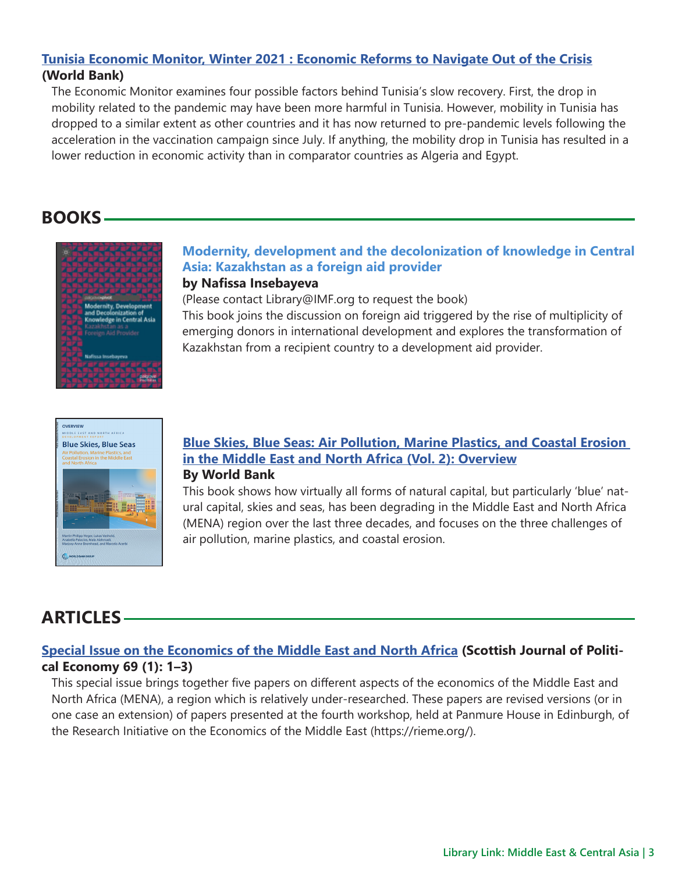#### <span id="page-2-0"></span>**[Tunisia Economic Monitor, Winter 2021 : Economic Reforms to Navigate Out of the Crisis](http://t.imfconnect.imf.org/r/?id=h6d0667,3272650,33860bc) (World Bank)**

The Economic Monitor examines four possible factors behind Tunisia's slow recovery. First, the drop in mobility related to the pandemic may have been more harmful in Tunisia. However, mobility in Tunisia has dropped to a similar extent as other countries and it has now returned to pre-pandemic levels following the acceleration in the vaccination campaign since July. If anything, the mobility drop in Tunisia has resulted in a lower reduction in economic activity than in comparator countries as Algeria and Egypt.

## **BOOKS**



#### **Modernity, development and the decolonization of knowledge in Central Asia: Kazakhstan as a foreign aid provider by Nafissa Insebayeva**

(Please contact Library@IMF.org to request the book)

This book joins the discussion on foreign aid triggered by the rise of multiplicity of emerging donors in international development and explores the transformation of Kazakhstan from a recipient country to a development aid provider.



#### **[Blue Skies, Blue Seas: Air Pollution, Marine Plastics, and Coastal Erosion](http://t.imfconnect.imf.org/r/?id=h6d0667,3272650,33860bd)  [in the Middle East and North Africa \(Vol. 2\): Overview](http://t.imfconnect.imf.org/r/?id=h6d0667,3272650,33860bd) By World Bank**

This book shows how virtually all forms of natural capital, but particularly 'blue' natural capital, skies and seas, has been degrading in the Middle East and North Africa (MENA) region over the last three decades, and focuses on the three challenges of air pollution, marine plastics, and coastal erosion.

# **ARTICLES**

### **[Special Issue on the Economics of the Middle East and North Africa](http://t.imfconnect.imf.org/r/?id=h6d0667,3272650,33860be) (Scottish Journal of Political Economy 69 (1): 1–3)**

This special issue brings together five papers on different aspects of the economics of the Middle East and North Africa (MENA), a region which is relatively under-researched. These papers are revised versions (or in one case an extension) of papers presented at the fourth workshop, held at Panmure House in Edinburgh, of the Research Initiative on the Economics of the Middle East (https://rieme.org/).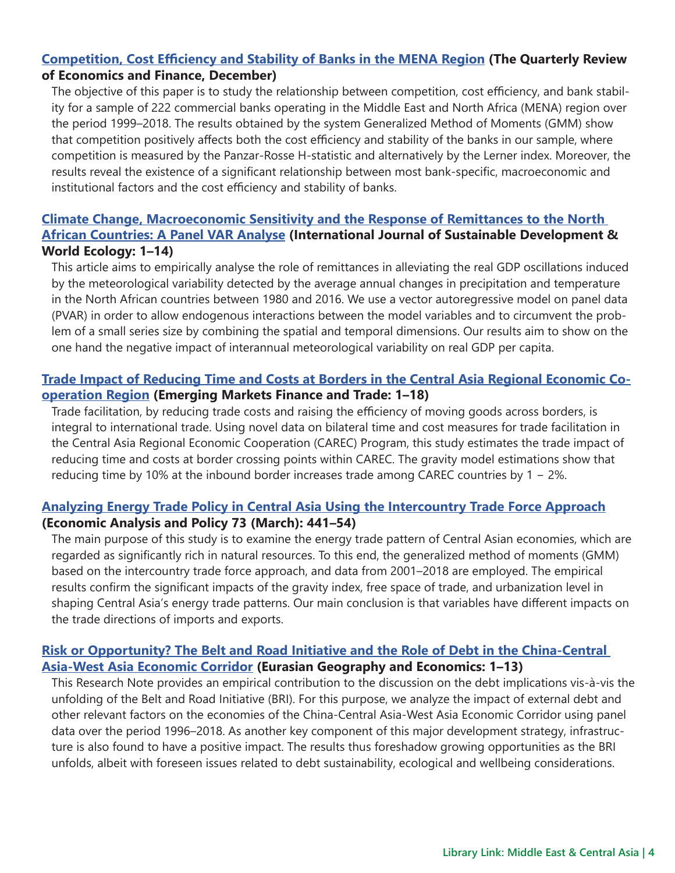#### **[Competition, Cost Efficiency and Stability of Banks in the MENA Region](http://t.imfconnect.imf.org/r/?id=h6d0667,3272650,33860bf) (The Quarterly Review of Economics and Finance, December)**

The objective of this paper is to study the relationship between competition, cost efficiency, and bank stability for a sample of 222 commercial banks operating in the Middle East and North Africa (MENA) region over the period 1999–2018. The results obtained by the system Generalized Method of Moments (GMM) show that competition positively affects both the cost efficiency and stability of the banks in our sample, where competition is measured by the Panzar-Rosse H-statistic and alternatively by the Lerner index. Moreover, the results reveal the existence of a significant relationship between most bank-specific, macroeconomic and institutional factors and the cost efficiency and stability of banks.

### **[Climate Change, Macroeconomic Sensitivity and the Response of Remittances to the North](http://t.imfconnect.imf.org/r/?id=h6d0667,3272650,33860c0)  [African Countries: A Panel VAR Analyse](http://t.imfconnect.imf.org/r/?id=h6d0667,3272650,33860c0) (International Journal of Sustainable Development & World Ecology: 1–14)**

This article aims to empirically analyse the role of remittances in alleviating the real GDP oscillations induced by the meteorological variability detected by the average annual changes in precipitation and temperature in the North African countries between 1980 and 2016. We use a vector autoregressive model on panel data (PVAR) in order to allow endogenous interactions between the model variables and to circumvent the problem of a small series size by combining the spatial and temporal dimensions. Our results aim to show on the one hand the negative impact of interannual meteorological variability on real GDP per capita.

### **[Trade Impact of Reducing Time and Costs at Borders in the Central Asia Regional Economic Co](http://t.imfconnect.imf.org/r/?id=h6d0667,3272650,33860c1)[operation Region](http://t.imfconnect.imf.org/r/?id=h6d0667,3272650,33860c1) (Emerging Markets Finance and Trade: 1–18)**

Trade facilitation, by reducing trade costs and raising the efficiency of moving goods across borders, is integral to international trade. Using novel data on bilateral time and cost measures for trade facilitation in the Central Asia Regional Economic Cooperation (CAREC) Program, this study estimates the trade impact of reducing time and costs at border crossing points within CAREC. The gravity model estimations show that reducing time by 10% at the inbound border increases trade among CAREC countries by 1 − 2%.

### **[Analyzing Energy Trade Policy in Central Asia Using the Intercountry Trade Force Approach](http://t.imfconnect.imf.org/r/?id=h6d0667,3272650,33860c2) (Economic Analysis and Policy 73 (March): 441–54)**

The main purpose of this study is to examine the energy trade pattern of Central Asian economies, which are regarded as significantly rich in natural resources. To this end, the generalized method of moments (GMM) based on the intercountry trade force approach, and data from 2001–2018 are employed. The empirical results confirm the significant impacts of the gravity index, free space of trade, and urbanization level in shaping Central Asia's energy trade patterns. Our main conclusion is that variables have different impacts on the trade directions of imports and exports.

### **[Risk or Opportunity? The Belt and Road Initiative and the Role of Debt in the China-Central](http://t.imfconnect.imf.org/r/?id=h6d0667,3272650,33860c3)  [Asia-West Asia Economic Corridor](http://t.imfconnect.imf.org/r/?id=h6d0667,3272650,33860c3) (Eurasian Geography and Economics: 1–13)**

This Research Note provides an empirical contribution to the discussion on the debt implications vis-à-vis the unfolding of the Belt and Road Initiative (BRI). For this purpose, we analyze the impact of external debt and other relevant factors on the economies of the China-Central Asia-West Asia Economic Corridor using panel data over the period 1996–2018. As another key component of this major development strategy, infrastructure is also found to have a positive impact. The results thus foreshadow growing opportunities as the BRI unfolds, albeit with foreseen issues related to debt sustainability, ecological and wellbeing considerations.